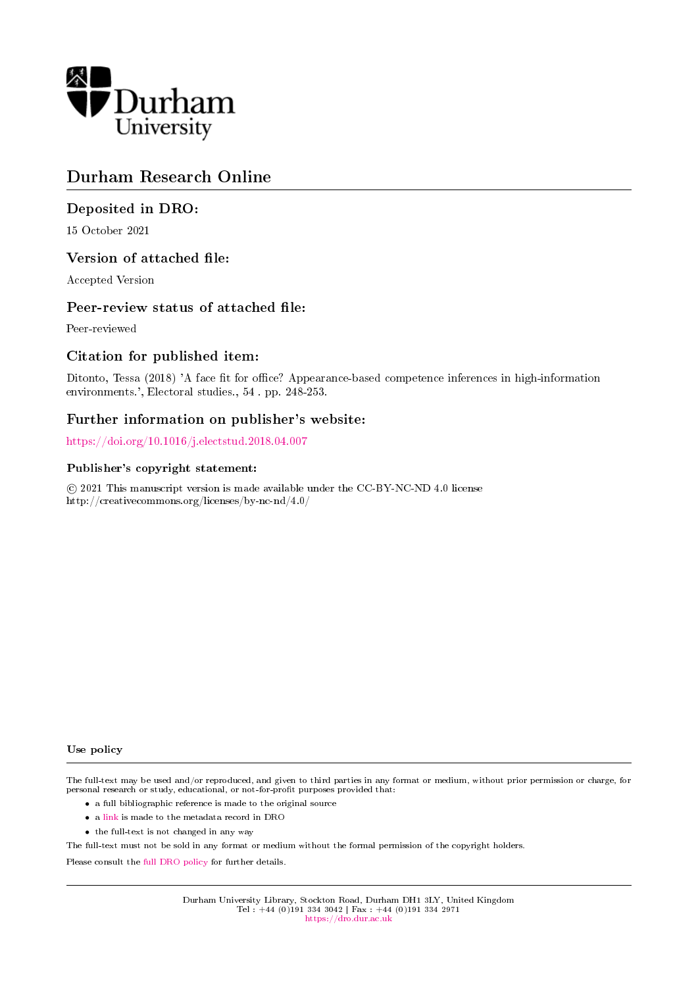

# Durham Research Online

# Deposited in DRO:

15 October 2021

# Version of attached file:

Accepted Version

# Peer-review status of attached file:

Peer-reviewed

# Citation for published item:

Ditonto, Tessa (2018) 'A face fit for office? Appearance-based competence inferences in high-information environments.', Electoral studies., 54 . pp. 248-253.

# Further information on publisher's website:

<https://doi.org/10.1016/j.electstud.2018.04.007>

# Publisher's copyright statement:

 c 2021 This manuscript version is made available under the CC-BY-NC-ND 4.0 license http://creativecommons.org/licenses/by-nc-nd/4.0/

#### Use policy

The full-text may be used and/or reproduced, and given to third parties in any format or medium, without prior permission or charge, for personal research or study, educational, or not-for-profit purposes provided that:

- a full bibliographic reference is made to the original source
- a [link](http://dro.dur.ac.uk/34205/) is made to the metadata record in DRO
- the full-text is not changed in any way

The full-text must not be sold in any format or medium without the formal permission of the copyright holders.

Please consult the [full DRO policy](https://dro.dur.ac.uk/policies/usepolicy.pdf) for further details.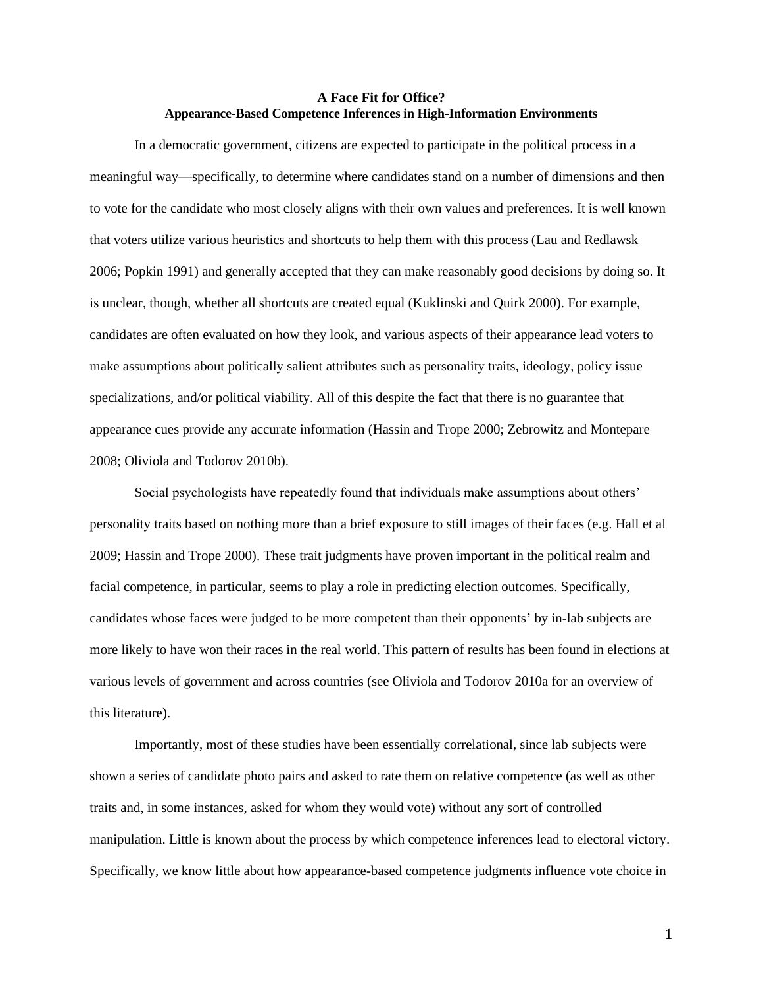# **A Face Fit for Office? Appearance-Based Competence Inferences in High-Information Environments**

In a democratic government, citizens are expected to participate in the political process in a meaningful way—specifically, to determine where candidates stand on a number of dimensions and then to vote for the candidate who most closely aligns with their own values and preferences. It is well known that voters utilize various heuristics and shortcuts to help them with this process (Lau and Redlawsk 2006; Popkin 1991) and generally accepted that they can make reasonably good decisions by doing so. It is unclear, though, whether all shortcuts are created equal (Kuklinski and Quirk 2000). For example, candidates are often evaluated on how they look, and various aspects of their appearance lead voters to make assumptions about politically salient attributes such as personality traits, ideology, policy issue specializations, and/or political viability. All of this despite the fact that there is no guarantee that appearance cues provide any accurate information (Hassin and Trope 2000; Zebrowitz and Montepare 2008; Oliviola and Todorov 2010b).

Social psychologists have repeatedly found that individuals make assumptions about others' personality traits based on nothing more than a brief exposure to still images of their faces (e.g. Hall et al 2009; Hassin and Trope 2000). These trait judgments have proven important in the political realm and facial competence, in particular, seems to play a role in predicting election outcomes. Specifically, candidates whose faces were judged to be more competent than their opponents' by in-lab subjects are more likely to have won their races in the real world. This pattern of results has been found in elections at various levels of government and across countries (see Oliviola and Todorov 2010a for an overview of this literature).

Importantly, most of these studies have been essentially correlational, since lab subjects were shown a series of candidate photo pairs and asked to rate them on relative competence (as well as other traits and, in some instances, asked for whom they would vote) without any sort of controlled manipulation. Little is known about the process by which competence inferences lead to electoral victory. Specifically, we know little about how appearance-based competence judgments influence vote choice in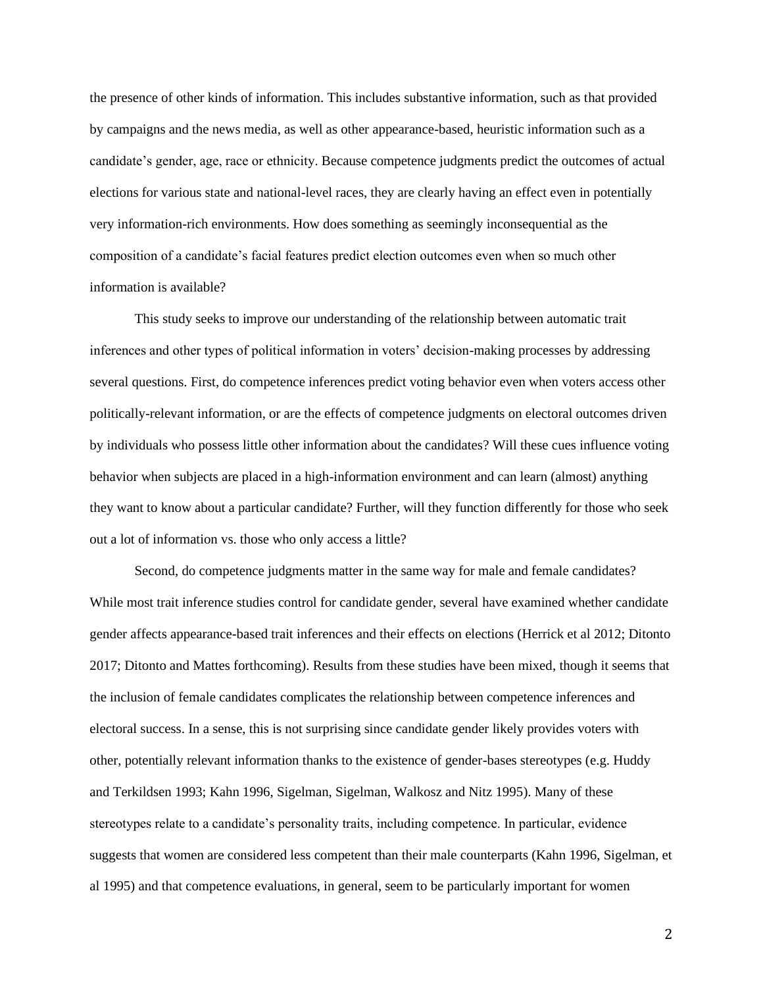the presence of other kinds of information. This includes substantive information, such as that provided by campaigns and the news media, as well as other appearance-based, heuristic information such as a candidate's gender, age, race or ethnicity. Because competence judgments predict the outcomes of actual elections for various state and national-level races, they are clearly having an effect even in potentially very information-rich environments. How does something as seemingly inconsequential as the composition of a candidate's facial features predict election outcomes even when so much other information is available?

This study seeks to improve our understanding of the relationship between automatic trait inferences and other types of political information in voters' decision-making processes by addressing several questions. First, do competence inferences predict voting behavior even when voters access other politically-relevant information, or are the effects of competence judgments on electoral outcomes driven by individuals who possess little other information about the candidates? Will these cues influence voting behavior when subjects are placed in a high-information environment and can learn (almost) anything they want to know about a particular candidate? Further, will they function differently for those who seek out a lot of information vs. those who only access a little?

Second, do competence judgments matter in the same way for male and female candidates? While most trait inference studies control for candidate gender, several have examined whether candidate gender affects appearance-based trait inferences and their effects on elections (Herrick et al 2012; Ditonto 2017; Ditonto and Mattes forthcoming). Results from these studies have been mixed, though it seems that the inclusion of female candidates complicates the relationship between competence inferences and electoral success. In a sense, this is not surprising since candidate gender likely provides voters with other, potentially relevant information thanks to the existence of gender-bases stereotypes (e.g. Huddy and Terkildsen 1993; Kahn 1996, Sigelman, Sigelman, Walkosz and Nitz 1995). Many of these stereotypes relate to a candidate's personality traits, including competence. In particular, evidence suggests that women are considered less competent than their male counterparts (Kahn 1996, Sigelman, et al 1995) and that competence evaluations, in general, seem to be particularly important for women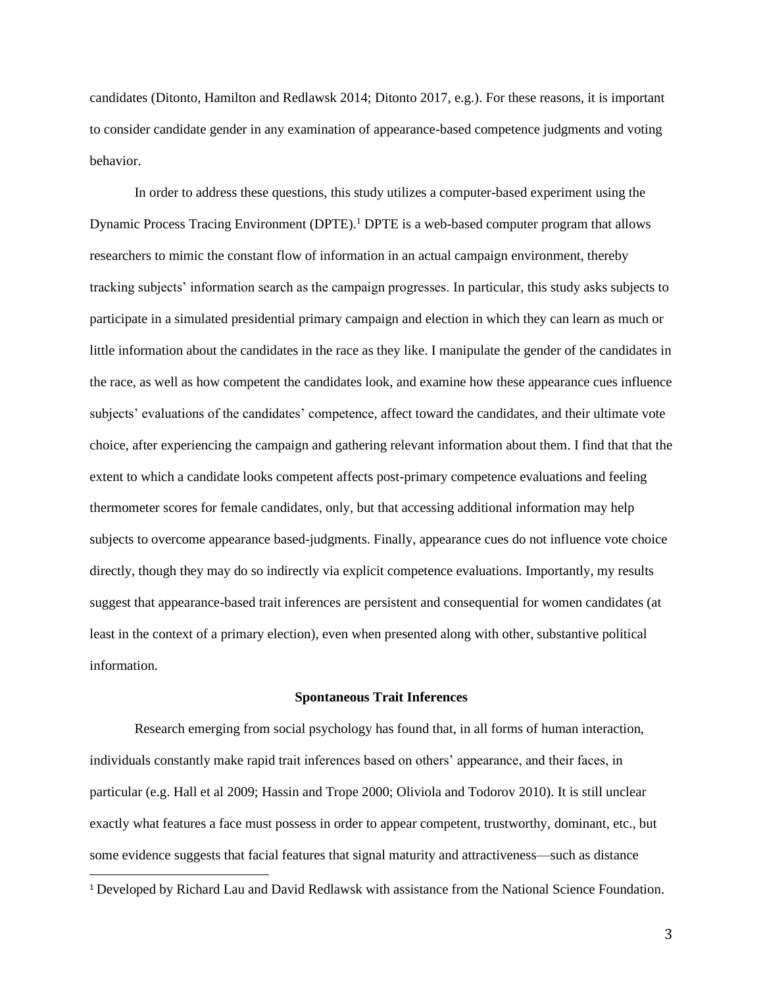candidates (Ditonto, Hamilton and Redlawsk 2014; Ditonto 2017, e.g.). For these reasons, it is important to consider candidate gender in any examination of appearance-based competence judgments and voting behavior.

In order to address these questions, this study utilizes a computer-based experiment using the Dynamic Process Tracing Environment (DPTE).<sup>1</sup> DPTE is a web-based computer program that allows researchers to mimic the constant flow of information in an actual campaign environment, thereby tracking subjects' information search as the campaign progresses. In particular, this study asks subjects to participate in a simulated presidential primary campaign and election in which they can learn as much or little information about the candidates in the race as they like. I manipulate the gender of the candidates in the race, as well as how competent the candidates look, and examine how these appearance cues influence subjects' evaluations of the candidates' competence, affect toward the candidates, and their ultimate vote choice, after experiencing the campaign and gathering relevant information about them. I find that that the extent to which a candidate looks competent affects post-primary competence evaluations and feeling thermometer scores for female candidates, only, but that accessing additional information may help subjects to overcome appearance based-judgments. Finally, appearance cues do not influence vote choice directly, though they may do so indirectly via explicit competence evaluations. Importantly, my results suggest that appearance-based trait inferences are persistent and consequential for women candidates (at least in the context of a primary election), even when presented along with other, substantive political information.

#### **Spontaneous Trait Inferences**

Research emerging from social psychology has found that, in all forms of human interaction, individuals constantly make rapid trait inferences based on others' appearance, and their faces, in particular (e.g. Hall et al 2009; Hassin and Trope 2000; Oliviola and Todorov 2010). It is still unclear exactly what features a face must possess in order to appear competent, trustworthy, dominant, etc., but some evidence suggests that facial features that signal maturity and attractiveness—such as distance

<sup>1</sup> Developed by Richard Lau and David Redlawsk with assistance from the National Science Foundation.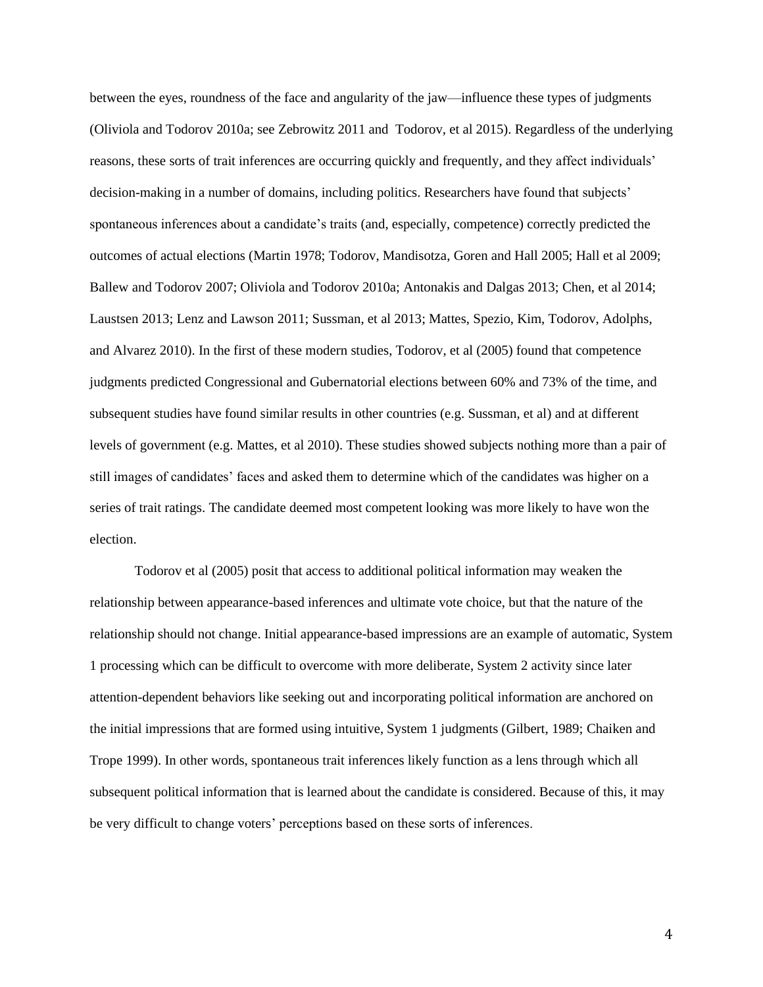between the eyes, roundness of the face and angularity of the jaw—influence these types of judgments (Oliviola and Todorov 2010a; see Zebrowitz 2011 and Todorov, et al 2015). Regardless of the underlying reasons, these sorts of trait inferences are occurring quickly and frequently, and they affect individuals' decision-making in a number of domains, including politics. Researchers have found that subjects' spontaneous inferences about a candidate's traits (and, especially, competence) correctly predicted the outcomes of actual elections (Martin 1978; Todorov, Mandisotza, Goren and Hall 2005; Hall et al 2009; Ballew and Todorov 2007; Oliviola and Todorov 2010a; Antonakis and Dalgas 2013; Chen, et al 2014; Laustsen 2013; Lenz and Lawson 2011; Sussman, et al 2013; Mattes, Spezio, Kim, Todorov, Adolphs, and Alvarez 2010). In the first of these modern studies, Todorov, et al (2005) found that competence judgments predicted Congressional and Gubernatorial elections between 60% and 73% of the time, and subsequent studies have found similar results in other countries (e.g. Sussman, et al) and at different levels of government (e.g. Mattes, et al 2010). These studies showed subjects nothing more than a pair of still images of candidates' faces and asked them to determine which of the candidates was higher on a series of trait ratings. The candidate deemed most competent looking was more likely to have won the election.

Todorov et al (2005) posit that access to additional political information may weaken the relationship between appearance-based inferences and ultimate vote choice, but that the nature of the relationship should not change. Initial appearance-based impressions are an example of automatic, System 1 processing which can be difficult to overcome with more deliberate, System 2 activity since later attention-dependent behaviors like seeking out and incorporating political information are anchored on the initial impressions that are formed using intuitive, System 1 judgments (Gilbert, 1989; Chaiken and Trope 1999). In other words, spontaneous trait inferences likely function as a lens through which all subsequent political information that is learned about the candidate is considered. Because of this, it may be very difficult to change voters' perceptions based on these sorts of inferences.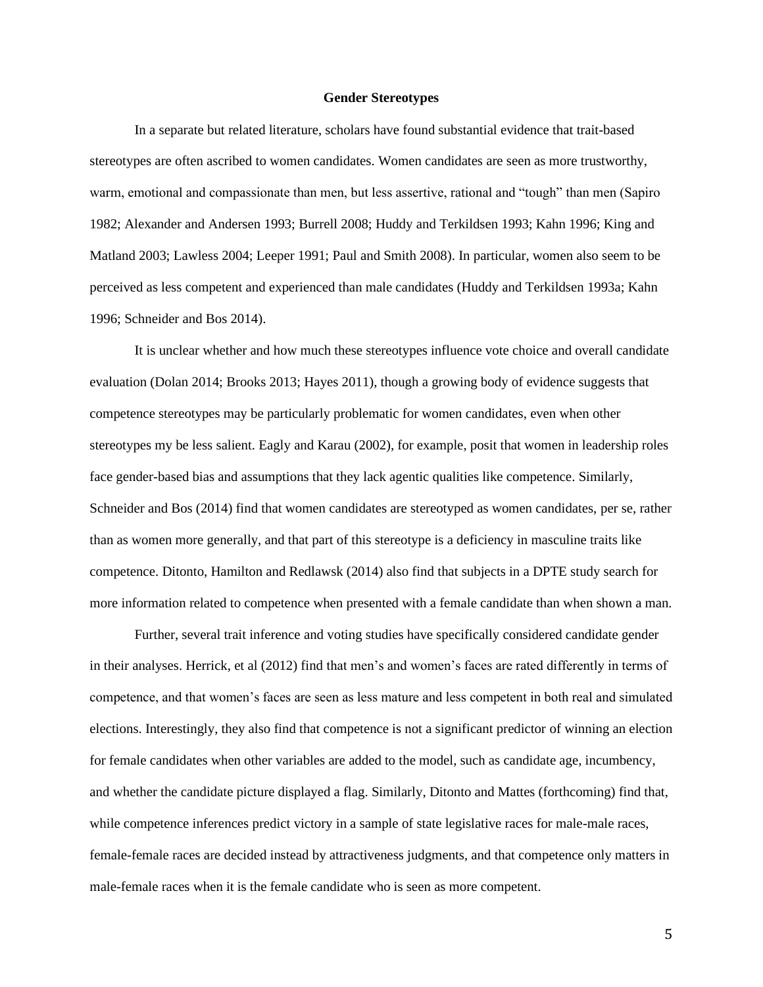#### **Gender Stereotypes**

In a separate but related literature, scholars have found substantial evidence that trait-based stereotypes are often ascribed to women candidates. Women candidates are seen as more trustworthy, warm, emotional and compassionate than men, but less assertive, rational and "tough" than men (Sapiro 1982; Alexander and Andersen 1993; Burrell 2008; Huddy and Terkildsen 1993; Kahn 1996; King and Matland 2003; Lawless 2004; Leeper 1991; Paul and Smith 2008). In particular, women also seem to be perceived as less competent and experienced than male candidates (Huddy and Terkildsen 1993a; Kahn 1996; Schneider and Bos 2014).

It is unclear whether and how much these stereotypes influence vote choice and overall candidate evaluation (Dolan 2014; Brooks 2013; Hayes 2011), though a growing body of evidence suggests that competence stereotypes may be particularly problematic for women candidates, even when other stereotypes my be less salient. Eagly and Karau (2002), for example, posit that women in leadership roles face gender-based bias and assumptions that they lack agentic qualities like competence. Similarly, Schneider and Bos (2014) find that women candidates are stereotyped as women candidates, per se, rather than as women more generally, and that part of this stereotype is a deficiency in masculine traits like competence. Ditonto, Hamilton and Redlawsk (2014) also find that subjects in a DPTE study search for more information related to competence when presented with a female candidate than when shown a man.

Further, several trait inference and voting studies have specifically considered candidate gender in their analyses. Herrick, et al (2012) find that men's and women's faces are rated differently in terms of competence, and that women's faces are seen as less mature and less competent in both real and simulated elections. Interestingly, they also find that competence is not a significant predictor of winning an election for female candidates when other variables are added to the model, such as candidate age, incumbency, and whether the candidate picture displayed a flag. Similarly, Ditonto and Mattes (forthcoming) find that, while competence inferences predict victory in a sample of state legislative races for male-male races, female-female races are decided instead by attractiveness judgments, and that competence only matters in male-female races when it is the female candidate who is seen as more competent.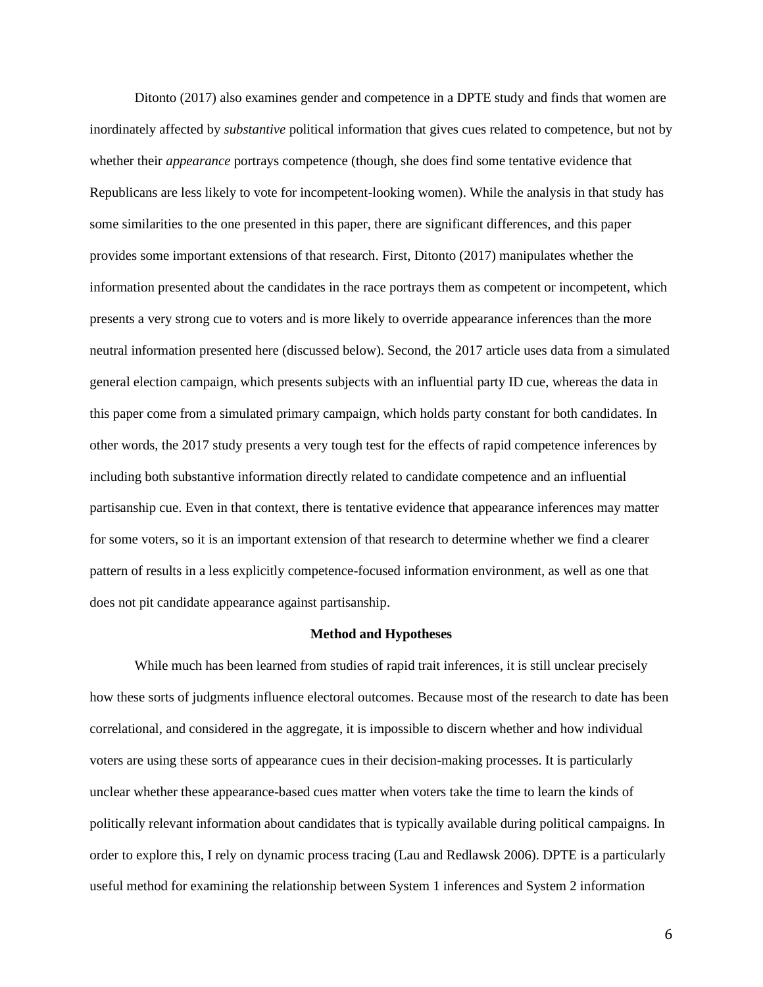Ditonto (2017) also examines gender and competence in a DPTE study and finds that women are inordinately affected by *substantive* political information that gives cues related to competence, but not by whether their *appearance* portrays competence (though, she does find some tentative evidence that Republicans are less likely to vote for incompetent-looking women). While the analysis in that study has some similarities to the one presented in this paper, there are significant differences, and this paper provides some important extensions of that research. First, Ditonto (2017) manipulates whether the information presented about the candidates in the race portrays them as competent or incompetent, which presents a very strong cue to voters and is more likely to override appearance inferences than the more neutral information presented here (discussed below). Second, the 2017 article uses data from a simulated general election campaign, which presents subjects with an influential party ID cue, whereas the data in this paper come from a simulated primary campaign, which holds party constant for both candidates. In other words, the 2017 study presents a very tough test for the effects of rapid competence inferences by including both substantive information directly related to candidate competence and an influential partisanship cue. Even in that context, there is tentative evidence that appearance inferences may matter for some voters, so it is an important extension of that research to determine whether we find a clearer pattern of results in a less explicitly competence-focused information environment, as well as one that does not pit candidate appearance against partisanship.

### **Method and Hypotheses**

While much has been learned from studies of rapid trait inferences, it is still unclear precisely how these sorts of judgments influence electoral outcomes. Because most of the research to date has been correlational, and considered in the aggregate, it is impossible to discern whether and how individual voters are using these sorts of appearance cues in their decision-making processes. It is particularly unclear whether these appearance-based cues matter when voters take the time to learn the kinds of politically relevant information about candidates that is typically available during political campaigns. In order to explore this, I rely on dynamic process tracing (Lau and Redlawsk 2006). DPTE is a particularly useful method for examining the relationship between System 1 inferences and System 2 information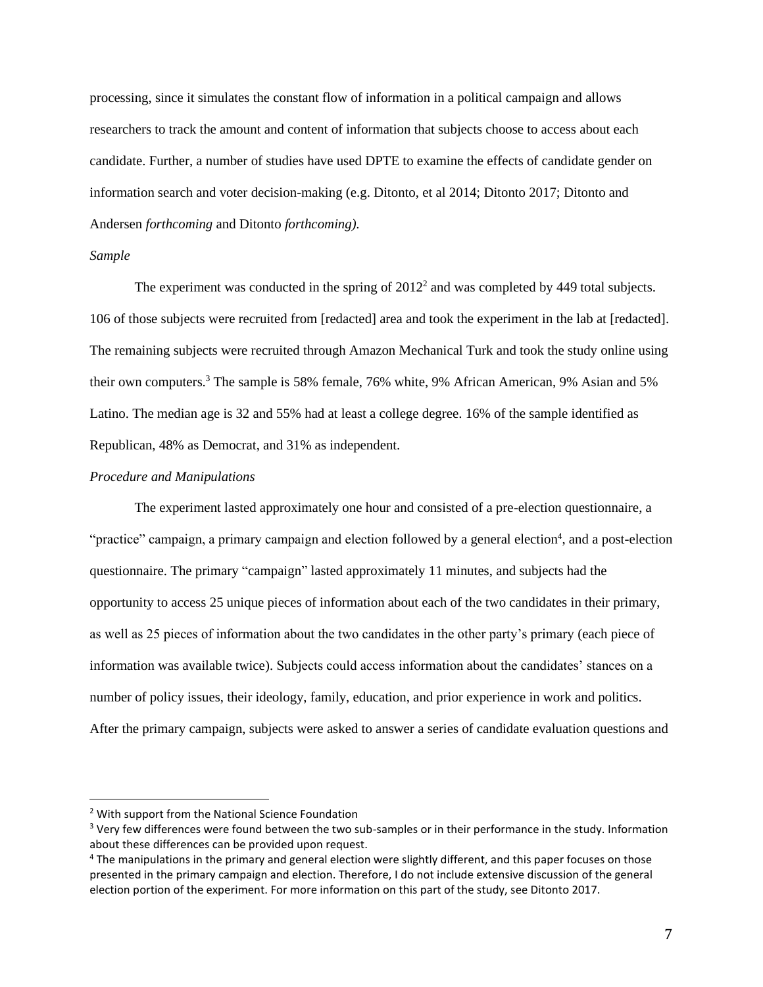processing, since it simulates the constant flow of information in a political campaign and allows researchers to track the amount and content of information that subjects choose to access about each candidate. Further, a number of studies have used DPTE to examine the effects of candidate gender on information search and voter decision-making (e.g. Ditonto, et al 2014; Ditonto 2017; Ditonto and Andersen *forthcoming* and Ditonto *forthcoming).*

#### *Sample*

The experiment was conducted in the spring of  $2012<sup>2</sup>$  and was completed by 449 total subjects. 106 of those subjects were recruited from [redacted] area and took the experiment in the lab at [redacted]. The remaining subjects were recruited through Amazon Mechanical Turk and took the study online using their own computers.<sup>3</sup> The sample is 58% female, 76% white, 9% African American, 9% Asian and 5% Latino. The median age is 32 and 55% had at least a college degree. 16% of the sample identified as Republican, 48% as Democrat, and 31% as independent.

### *Procedure and Manipulations*

The experiment lasted approximately one hour and consisted of a pre-election questionnaire, a "practice" campaign, a primary campaign and election followed by a general election<sup>4</sup>, and a post-election questionnaire. The primary "campaign" lasted approximately 11 minutes, and subjects had the opportunity to access 25 unique pieces of information about each of the two candidates in their primary, as well as 25 pieces of information about the two candidates in the other party's primary (each piece of information was available twice). Subjects could access information about the candidates' stances on a number of policy issues, their ideology, family, education, and prior experience in work and politics. After the primary campaign, subjects were asked to answer a series of candidate evaluation questions and

<sup>2</sup> With support from the National Science Foundation

<sup>&</sup>lt;sup>3</sup> Very few differences were found between the two sub-samples or in their performance in the study. Information about these differences can be provided upon request.

<sup>4</sup> The manipulations in the primary and general election were slightly different, and this paper focuses on those presented in the primary campaign and election. Therefore, I do not include extensive discussion of the general election portion of the experiment. For more information on this part of the study, see Ditonto 2017.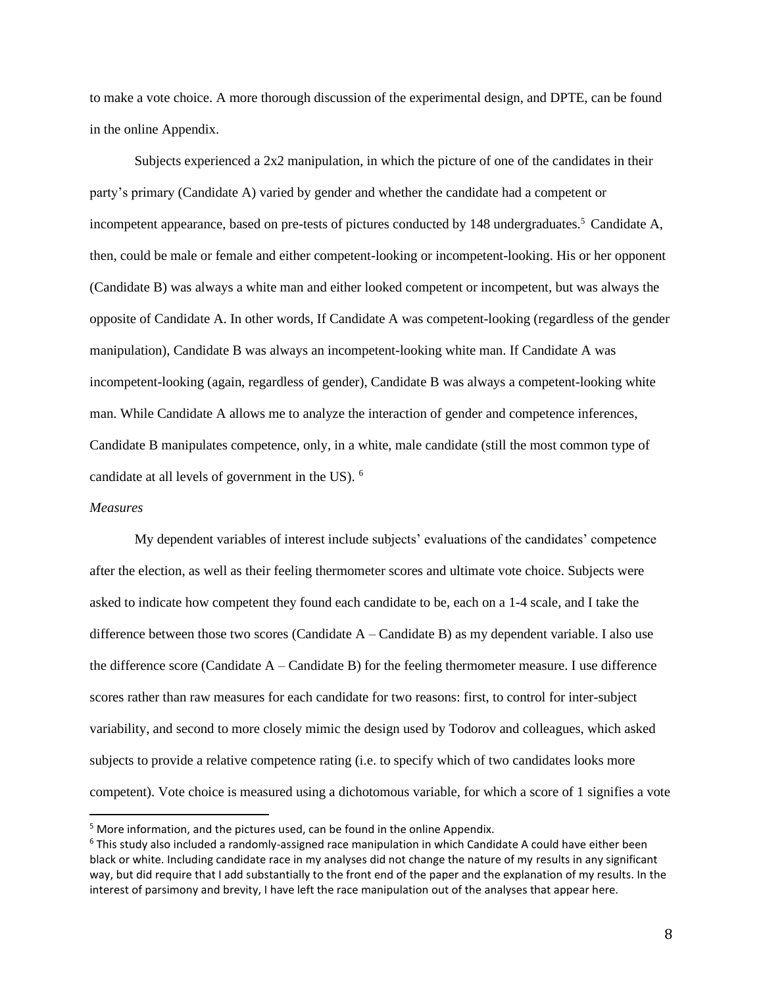to make a vote choice. A more thorough discussion of the experimental design, and DPTE, can be found in the online Appendix.

Subjects experienced a 2x2 manipulation, in which the picture of one of the candidates in their party's primary (Candidate A) varied by gender and whether the candidate had a competent or incompetent appearance, based on pre-tests of pictures conducted by 148 undergraduates.<sup>5</sup> Candidate A, then, could be male or female and either competent-looking or incompetent-looking. His or her opponent (Candidate B) was always a white man and either looked competent or incompetent, but was always the opposite of Candidate A. In other words, If Candidate A was competent-looking (regardless of the gender manipulation), Candidate B was always an incompetent-looking white man. If Candidate A was incompetent-looking (again, regardless of gender), Candidate B was always a competent-looking white man. While Candidate A allows me to analyze the interaction of gender and competence inferences, Candidate B manipulates competence, only, in a white, male candidate (still the most common type of candidate at all levels of government in the US). <sup>6</sup>

## *Measures*

My dependent variables of interest include subjects' evaluations of the candidates' competence after the election, as well as their feeling thermometer scores and ultimate vote choice. Subjects were asked to indicate how competent they found each candidate to be, each on a 1-4 scale, and I take the difference between those two scores (Candidate A – Candidate B) as my dependent variable. I also use the difference score (Candidate  $A -$ Candidate B) for the feeling thermometer measure. I use difference scores rather than raw measures for each candidate for two reasons: first, to control for inter-subject variability, and second to more closely mimic the design used by Todorov and colleagues, which asked subjects to provide a relative competence rating (i.e. to specify which of two candidates looks more competent). Vote choice is measured using a dichotomous variable, for which a score of 1 signifies a vote

<sup>&</sup>lt;sup>5</sup> More information, and the pictures used, can be found in the online Appendix.

 $6$  This study also included a randomly-assigned race manipulation in which Candidate A could have either been black or white. Including candidate race in my analyses did not change the nature of my results in any significant way, but did require that I add substantially to the front end of the paper and the explanation of my results. In the interest of parsimony and brevity, I have left the race manipulation out of the analyses that appear here.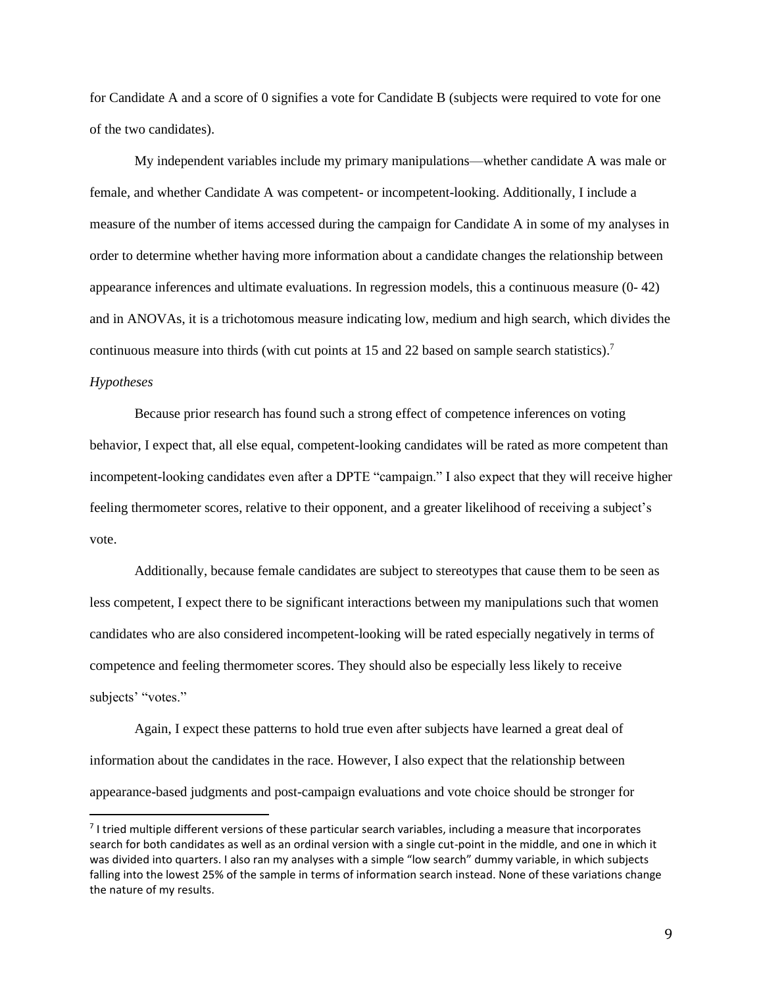for Candidate A and a score of 0 signifies a vote for Candidate B (subjects were required to vote for one of the two candidates).

My independent variables include my primary manipulations—whether candidate A was male or female, and whether Candidate A was competent- or incompetent-looking. Additionally, I include a measure of the number of items accessed during the campaign for Candidate A in some of my analyses in order to determine whether having more information about a candidate changes the relationship between appearance inferences and ultimate evaluations. In regression models, this a continuous measure (0- 42) and in ANOVAs, it is a trichotomous measure indicating low, medium and high search, which divides the continuous measure into thirds (with cut points at 15 and 22 based on sample search statistics).<sup>7</sup>

### *Hypotheses*

Because prior research has found such a strong effect of competence inferences on voting behavior, I expect that, all else equal, competent-looking candidates will be rated as more competent than incompetent-looking candidates even after a DPTE "campaign." I also expect that they will receive higher feeling thermometer scores, relative to their opponent, and a greater likelihood of receiving a subject's vote.

Additionally, because female candidates are subject to stereotypes that cause them to be seen as less competent, I expect there to be significant interactions between my manipulations such that women candidates who are also considered incompetent-looking will be rated especially negatively in terms of competence and feeling thermometer scores. They should also be especially less likely to receive subjects' "votes."

Again, I expect these patterns to hold true even after subjects have learned a great deal of information about the candidates in the race. However, I also expect that the relationship between appearance-based judgments and post-campaign evaluations and vote choice should be stronger for

<sup>&</sup>lt;sup>7</sup> I tried multiple different versions of these particular search variables, including a measure that incorporates search for both candidates as well as an ordinal version with a single cut-point in the middle, and one in which it was divided into quarters. I also ran my analyses with a simple "low search" dummy variable, in which subjects falling into the lowest 25% of the sample in terms of information search instead. None of these variations change the nature of my results.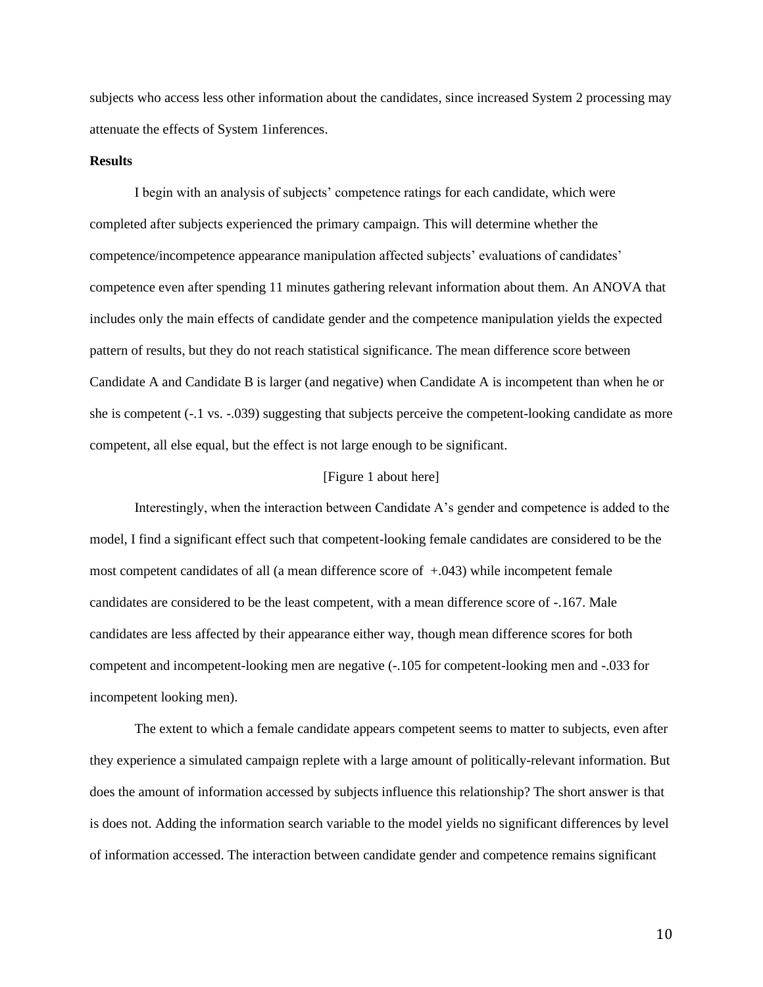subjects who access less other information about the candidates, since increased System 2 processing may attenuate the effects of System 1inferences.

### **Results**

I begin with an analysis of subjects' competence ratings for each candidate, which were completed after subjects experienced the primary campaign. This will determine whether the competence/incompetence appearance manipulation affected subjects' evaluations of candidates' competence even after spending 11 minutes gathering relevant information about them. An ANOVA that includes only the main effects of candidate gender and the competence manipulation yields the expected pattern of results, but they do not reach statistical significance. The mean difference score between Candidate A and Candidate B is larger (and negative) when Candidate A is incompetent than when he or she is competent (-.1 vs. -.039) suggesting that subjects perceive the competent-looking candidate as more competent, all else equal, but the effect is not large enough to be significant.

### [Figure 1 about here]

Interestingly, when the interaction between Candidate A's gender and competence is added to the model, I find a significant effect such that competent-looking female candidates are considered to be the most competent candidates of all (a mean difference score of  $+0.043$ ) while incompetent female candidates are considered to be the least competent, with a mean difference score of -.167. Male candidates are less affected by their appearance either way, though mean difference scores for both competent and incompetent-looking men are negative (-.105 for competent-looking men and -.033 for incompetent looking men).

The extent to which a female candidate appears competent seems to matter to subjects, even after they experience a simulated campaign replete with a large amount of politically-relevant information. But does the amount of information accessed by subjects influence this relationship? The short answer is that is does not. Adding the information search variable to the model yields no significant differences by level of information accessed. The interaction between candidate gender and competence remains significant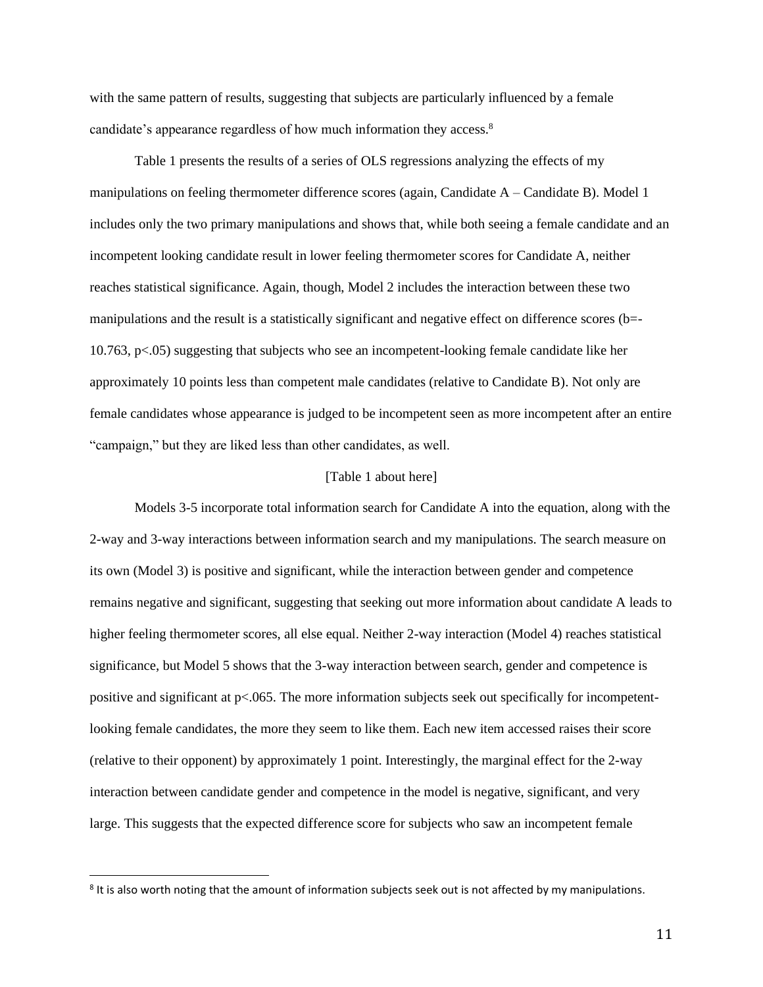with the same pattern of results, suggesting that subjects are particularly influenced by a female candidate's appearance regardless of how much information they access.<sup>8</sup>

Table 1 presents the results of a series of OLS regressions analyzing the effects of my manipulations on feeling thermometer difference scores (again, Candidate A – Candidate B). Model 1 includes only the two primary manipulations and shows that, while both seeing a female candidate and an incompetent looking candidate result in lower feeling thermometer scores for Candidate A, neither reaches statistical significance. Again, though, Model 2 includes the interaction between these two manipulations and the result is a statistically significant and negative effect on difference scores (b=- 10.763, p<.05) suggesting that subjects who see an incompetent-looking female candidate like her approximately 10 points less than competent male candidates (relative to Candidate B). Not only are female candidates whose appearance is judged to be incompetent seen as more incompetent after an entire "campaign," but they are liked less than other candidates, as well.

### [Table 1 about here]

Models 3-5 incorporate total information search for Candidate A into the equation, along with the 2-way and 3-way interactions between information search and my manipulations. The search measure on its own (Model 3) is positive and significant, while the interaction between gender and competence remains negative and significant, suggesting that seeking out more information about candidate A leads to higher feeling thermometer scores, all else equal. Neither 2-way interaction (Model 4) reaches statistical significance, but Model 5 shows that the 3-way interaction between search, gender and competence is positive and significant at  $p<0.065$ . The more information subjects seek out specifically for incompetentlooking female candidates, the more they seem to like them. Each new item accessed raises their score (relative to their opponent) by approximately 1 point. Interestingly, the marginal effect for the 2-way interaction between candidate gender and competence in the model is negative, significant, and very large. This suggests that the expected difference score for subjects who saw an incompetent female

<sup>&</sup>lt;sup>8</sup> It is also worth noting that the amount of information subjects seek out is not affected by my manipulations.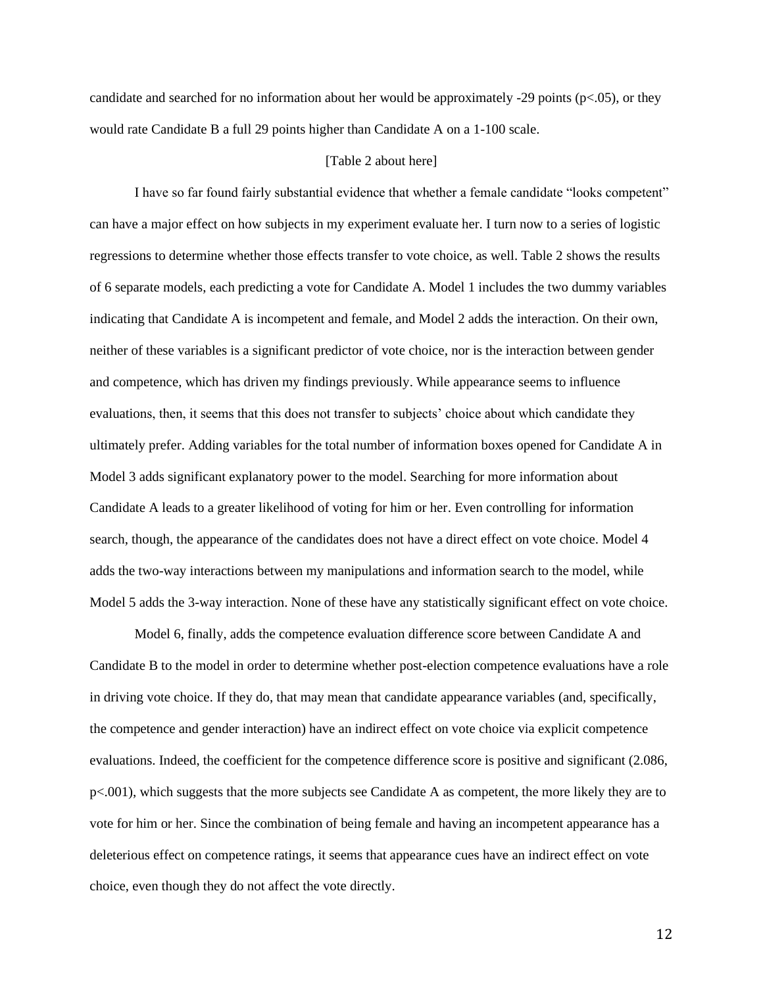candidate and searched for no information about her would be approximately -29 points ( $p<.05$ ), or they would rate Candidate B a full 29 points higher than Candidate A on a 1-100 scale.

### [Table 2 about here]

I have so far found fairly substantial evidence that whether a female candidate "looks competent" can have a major effect on how subjects in my experiment evaluate her. I turn now to a series of logistic regressions to determine whether those effects transfer to vote choice, as well. Table 2 shows the results of 6 separate models, each predicting a vote for Candidate A. Model 1 includes the two dummy variables indicating that Candidate A is incompetent and female, and Model 2 adds the interaction. On their own, neither of these variables is a significant predictor of vote choice, nor is the interaction between gender and competence, which has driven my findings previously. While appearance seems to influence evaluations, then, it seems that this does not transfer to subjects' choice about which candidate they ultimately prefer. Adding variables for the total number of information boxes opened for Candidate A in Model 3 adds significant explanatory power to the model. Searching for more information about Candidate A leads to a greater likelihood of voting for him or her. Even controlling for information search, though, the appearance of the candidates does not have a direct effect on vote choice. Model 4 adds the two-way interactions between my manipulations and information search to the model, while Model 5 adds the 3-way interaction. None of these have any statistically significant effect on vote choice.

Model 6, finally, adds the competence evaluation difference score between Candidate A and Candidate B to the model in order to determine whether post-election competence evaluations have a role in driving vote choice. If they do, that may mean that candidate appearance variables (and, specifically, the competence and gender interaction) have an indirect effect on vote choice via explicit competence evaluations. Indeed, the coefficient for the competence difference score is positive and significant (2.086, p<.001), which suggests that the more subjects see Candidate A as competent, the more likely they are to vote for him or her. Since the combination of being female and having an incompetent appearance has a deleterious effect on competence ratings, it seems that appearance cues have an indirect effect on vote choice, even though they do not affect the vote directly.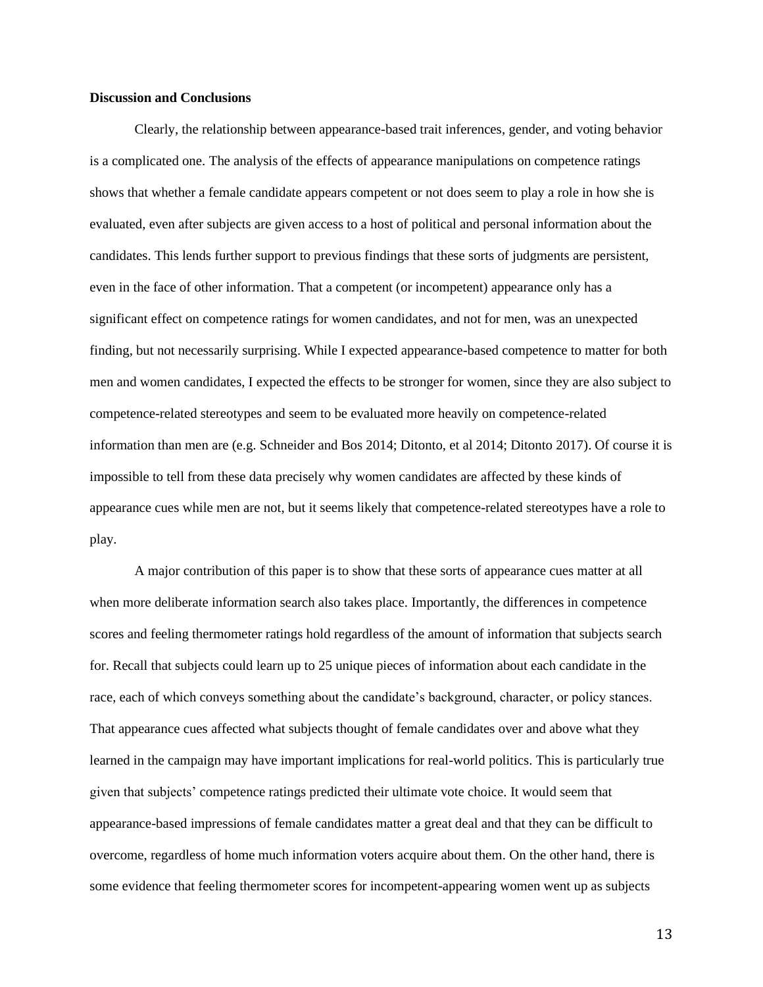#### **Discussion and Conclusions**

Clearly, the relationship between appearance-based trait inferences, gender, and voting behavior is a complicated one. The analysis of the effects of appearance manipulations on competence ratings shows that whether a female candidate appears competent or not does seem to play a role in how she is evaluated, even after subjects are given access to a host of political and personal information about the candidates. This lends further support to previous findings that these sorts of judgments are persistent, even in the face of other information. That a competent (or incompetent) appearance only has a significant effect on competence ratings for women candidates, and not for men, was an unexpected finding, but not necessarily surprising. While I expected appearance-based competence to matter for both men and women candidates, I expected the effects to be stronger for women, since they are also subject to competence-related stereotypes and seem to be evaluated more heavily on competence-related information than men are (e.g. Schneider and Bos 2014; Ditonto, et al 2014; Ditonto 2017). Of course it is impossible to tell from these data precisely why women candidates are affected by these kinds of appearance cues while men are not, but it seems likely that competence-related stereotypes have a role to play.

A major contribution of this paper is to show that these sorts of appearance cues matter at all when more deliberate information search also takes place. Importantly, the differences in competence scores and feeling thermometer ratings hold regardless of the amount of information that subjects search for. Recall that subjects could learn up to 25 unique pieces of information about each candidate in the race, each of which conveys something about the candidate's background, character, or policy stances. That appearance cues affected what subjects thought of female candidates over and above what they learned in the campaign may have important implications for real-world politics. This is particularly true given that subjects' competence ratings predicted their ultimate vote choice. It would seem that appearance-based impressions of female candidates matter a great deal and that they can be difficult to overcome, regardless of home much information voters acquire about them. On the other hand, there is some evidence that feeling thermometer scores for incompetent-appearing women went up as subjects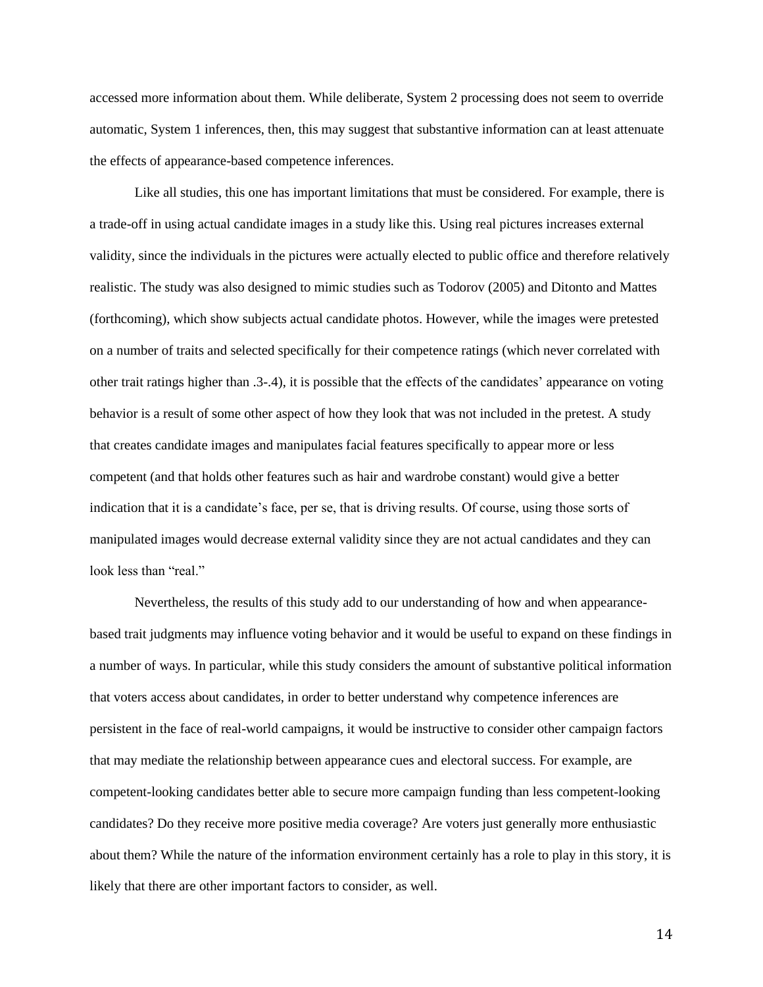accessed more information about them. While deliberate, System 2 processing does not seem to override automatic, System 1 inferences, then, this may suggest that substantive information can at least attenuate the effects of appearance-based competence inferences.

Like all studies, this one has important limitations that must be considered. For example, there is a trade-off in using actual candidate images in a study like this. Using real pictures increases external validity, since the individuals in the pictures were actually elected to public office and therefore relatively realistic. The study was also designed to mimic studies such as Todorov (2005) and Ditonto and Mattes (forthcoming), which show subjects actual candidate photos. However, while the images were pretested on a number of traits and selected specifically for their competence ratings (which never correlated with other trait ratings higher than .3-.4), it is possible that the effects of the candidates' appearance on voting behavior is a result of some other aspect of how they look that was not included in the pretest. A study that creates candidate images and manipulates facial features specifically to appear more or less competent (and that holds other features such as hair and wardrobe constant) would give a better indication that it is a candidate's face, per se, that is driving results. Of course, using those sorts of manipulated images would decrease external validity since they are not actual candidates and they can look less than "real."

Nevertheless, the results of this study add to our understanding of how and when appearancebased trait judgments may influence voting behavior and it would be useful to expand on these findings in a number of ways. In particular, while this study considers the amount of substantive political information that voters access about candidates, in order to better understand why competence inferences are persistent in the face of real-world campaigns, it would be instructive to consider other campaign factors that may mediate the relationship between appearance cues and electoral success. For example, are competent-looking candidates better able to secure more campaign funding than less competent-looking candidates? Do they receive more positive media coverage? Are voters just generally more enthusiastic about them? While the nature of the information environment certainly has a role to play in this story, it is likely that there are other important factors to consider, as well.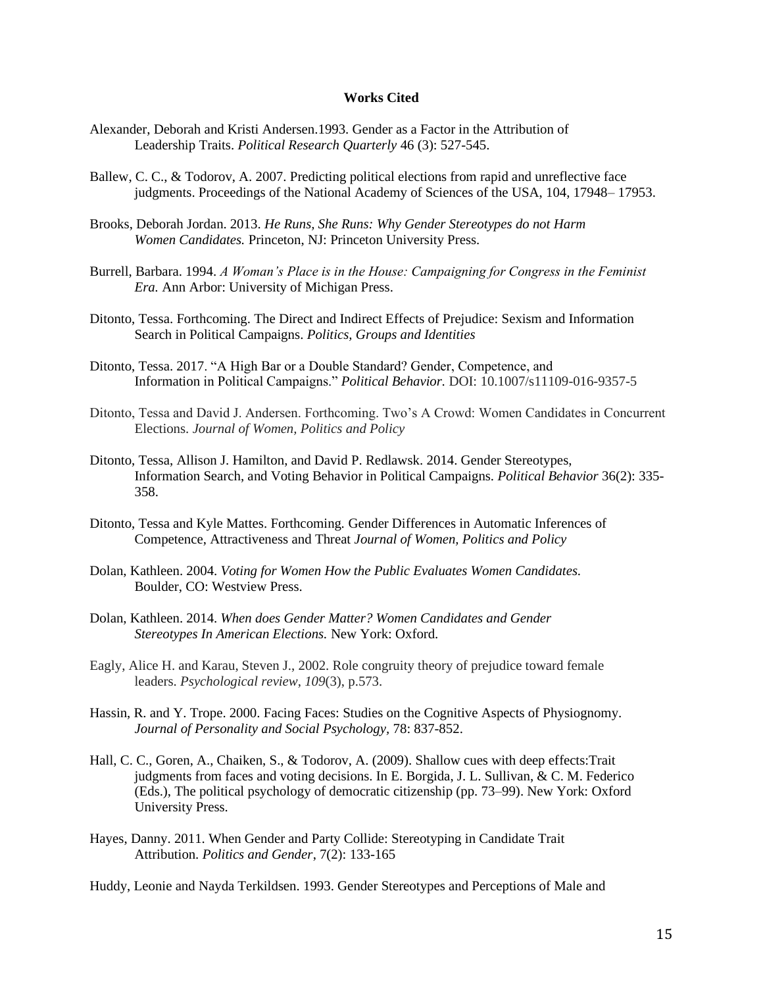#### **Works Cited**

- Alexander, Deborah and Kristi Andersen.1993. Gender as a Factor in the Attribution of Leadership Traits. *Political Research Quarterly* 46 (3): 527-545.
- Ballew, C. C., & Todorov, A. 2007. Predicting political elections from rapid and unreflective face judgments. Proceedings of the National Academy of Sciences of the USA, 104, 17948– 17953.
- Brooks, Deborah Jordan. 2013. *He Runs, She Runs: Why Gender Stereotypes do not Harm Women Candidates.* Princeton, NJ: Princeton University Press.
- Burrell, Barbara. 1994. *A Woman's Place is in the House: Campaigning for Congress in the Feminist Era.* Ann Arbor: University of Michigan Press.
- Ditonto, Tessa. Forthcoming. The Direct and Indirect Effects of Prejudice: Sexism and Information Search in Political Campaigns. *Politics, Groups and Identities*
- Ditonto, Tessa. 2017. "A High Bar or a Double Standard? Gender, Competence, and Information in Political Campaigns." *Political Behavior.* DOI: 10.1007/s11109-016-9357-5
- Ditonto, Tessa and David J. Andersen. Forthcoming. Two's A Crowd: Women Candidates in Concurrent Elections. *Journal of Women, Politics and Policy*
- Ditonto, Tessa, Allison J. Hamilton, and David P. Redlawsk. 2014. Gender Stereotypes, Information Search, and Voting Behavior in Political Campaigns. *Political Behavior* 36(2): 335- 358.
- Ditonto, Tessa and Kyle Mattes. Forthcoming*.* Gender Differences in Automatic Inferences of Competence, Attractiveness and Threat *Journal of Women, Politics and Policy*
- Dolan, Kathleen. 2004. *Voting for Women How the Public Evaluates Women Candidates.* Boulder, CO: Westview Press.
- Dolan, Kathleen. 2014. *When does Gender Matter? Women Candidates and Gender Stereotypes In American Elections.* New York: Oxford.
- Eagly, Alice H. and Karau, Steven J., 2002. Role congruity theory of prejudice toward female leaders. *Psychological review*, *109*(3), p.573.
- Hassin, R. and Y. Trope. 2000. Facing Faces: Studies on the Cognitive Aspects of Physiognomy. *Journal of Personality and Social Psychology,* 78: 837-852.
- Hall, C. C., Goren, A., Chaiken, S., & Todorov, A. (2009). Shallow cues with deep effects:Trait judgments from faces and voting decisions. In E. Borgida, J. L. Sullivan, & C. M. Federico (Eds.), The political psychology of democratic citizenship (pp. 73–99). New York: Oxford University Press.
- Hayes, Danny. 2011. When Gender and Party Collide: Stereotyping in Candidate Trait Attribution. *Politics and Gender*, 7(2): 133-165

Huddy, Leonie and Nayda Terkildsen. 1993. Gender Stereotypes and Perceptions of Male and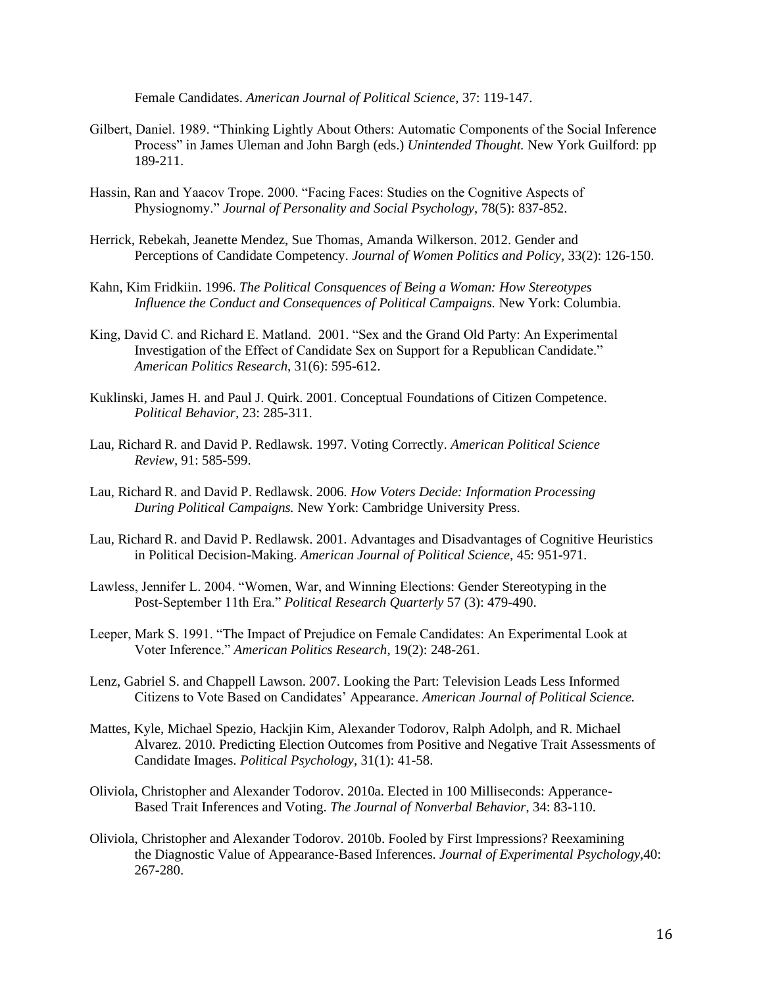Female Candidates. *American Journal of Political Science,* 37: 119-147.

- Gilbert, Daniel. 1989. "Thinking Lightly About Others: Automatic Components of the Social Inference Process" in James Uleman and John Bargh (eds.) *Unintended Thought.* New York Guilford: pp 189-211.
- Hassin, Ran and Yaacov Trope. 2000. "Facing Faces: Studies on the Cognitive Aspects of Physiognomy." *Journal of Personality and Social Psychology,* 78(5): 837-852.
- Herrick, Rebekah, Jeanette Mendez, Sue Thomas, Amanda Wilkerson. 2012. Gender and Perceptions of Candidate Competency. *Journal of Women Politics and Policy*, 33(2): 126-150.
- Kahn, Kim Fridkiin. 1996. *The Political Consquences of Being a Woman: How Stereotypes Influence the Conduct and Consequences of Political Campaigns.* New York: Columbia.
- King, David C. and Richard E. Matland. 2001. "Sex and the Grand Old Party: An Experimental Investigation of the Effect of Candidate Sex on Support for a Republican Candidate." *American Politics Research*, 31(6): 595-612.
- Kuklinski, James H. and Paul J. Quirk. 2001. Conceptual Foundations of Citizen Competence. *Political Behavior,* 23: 285-311.
- Lau, Richard R. and David P. Redlawsk. 1997. Voting Correctly. *American Political Science Review,* 91: 585-599.
- Lau, Richard R. and David P. Redlawsk. 2006. *How Voters Decide: Information Processing During Political Campaigns.* New York: Cambridge University Press.
- Lau, Richard R. and David P. Redlawsk. 2001. Advantages and Disadvantages of Cognitive Heuristics in Political Decision-Making. *American Journal of Political Science,* 45: 951-971.
- Lawless, Jennifer L. 2004. "Women, War, and Winning Elections: Gender Stereotyping in the Post-September 11th Era." *Political Research Quarterly* 57 (3): 479-490.
- Leeper, Mark S. 1991. "The Impact of Prejudice on Female Candidates: An Experimental Look at Voter Inference." *American Politics Research*, 19(2): 248-261.
- Lenz, Gabriel S. and Chappell Lawson. 2007. Looking the Part: Television Leads Less Informed Citizens to Vote Based on Candidates' Appearance. *American Journal of Political Science.*
- Mattes, Kyle, Michael Spezio, Hackjin Kim, Alexander Todorov, Ralph Adolph, and R. Michael Alvarez. 2010. Predicting Election Outcomes from Positive and Negative Trait Assessments of Candidate Images. *Political Psychology*, 31(1): 41-58.
- Oliviola, Christopher and Alexander Todorov. 2010a. Elected in 100 Milliseconds: Apperance-Based Trait Inferences and Voting. *The Journal of Nonverbal Behavior*, 34: 83-110.
- Oliviola, Christopher and Alexander Todorov. 2010b. Fooled by First Impressions? Reexamining the Diagnostic Value of Appearance-Based Inferences. *Journal of Experimental Psychology,*40: 267-280.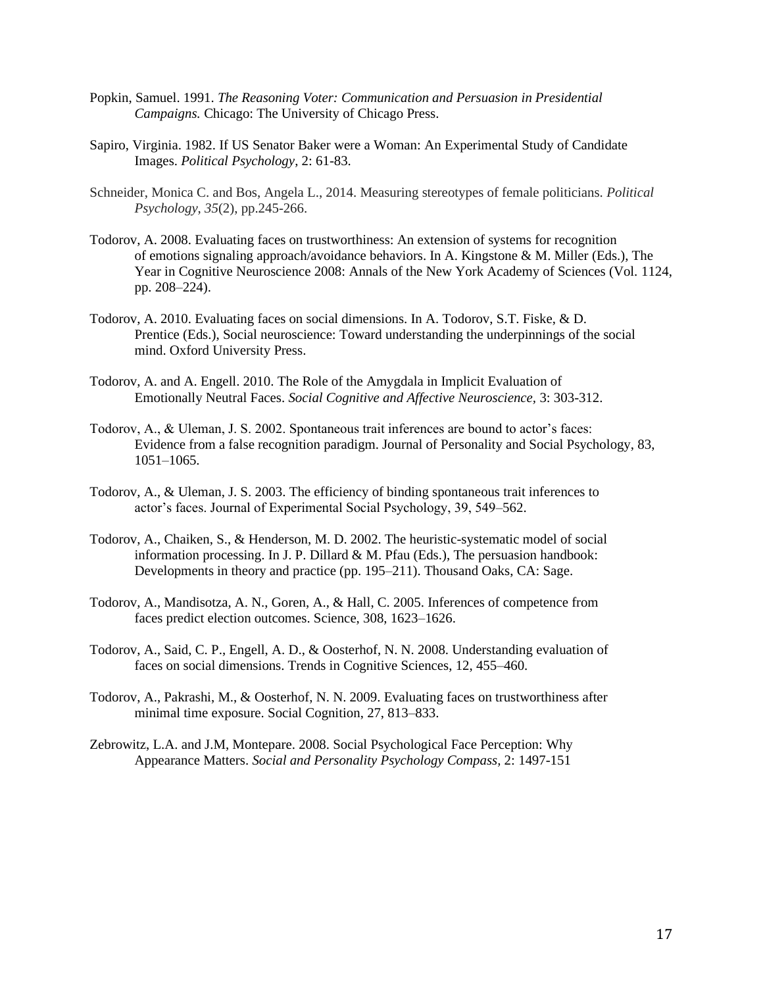- Popkin, Samuel. 1991. *The Reasoning Voter: Communication and Persuasion in Presidential Campaigns.* Chicago: The University of Chicago Press.
- Sapiro, Virginia. 1982. If US Senator Baker were a Woman: An Experimental Study of Candidate Images. *Political Psychology*, 2: 61-83.
- Schneider, Monica C. and Bos, Angela L., 2014. Measuring stereotypes of female politicians. *Political Psychology*, *35*(2), pp.245-266.
- Todorov, A. 2008. Evaluating faces on trustworthiness: An extension of systems for recognition of emotions signaling approach/avoidance behaviors. In A. Kingstone & M. Miller (Eds.), The Year in Cognitive Neuroscience 2008: Annals of the New York Academy of Sciences (Vol. 1124, pp. 208–224).
- Todorov, A. 2010. Evaluating faces on social dimensions. In A. Todorov, S.T. Fiske, & D. Prentice (Eds.), Social neuroscience: Toward understanding the underpinnings of the social mind. Oxford University Press.
- Todorov, A. and A. Engell. 2010. The Role of the Amygdala in Implicit Evaluation of Emotionally Neutral Faces. *Social Cognitive and Affective Neuroscience,* 3: 303-312.
- Todorov, A., & Uleman, J. S. 2002. Spontaneous trait inferences are bound to actor's faces: Evidence from a false recognition paradigm. Journal of Personality and Social Psychology, 83, 1051–1065.
- Todorov, A., & Uleman, J. S. 2003. The efficiency of binding spontaneous trait inferences to actor's faces. Journal of Experimental Social Psychology, 39, 549–562.
- Todorov, A., Chaiken, S., & Henderson, M. D. 2002. The heuristic-systematic model of social information processing. In J. P. Dillard & M. Pfau (Eds.), The persuasion handbook: Developments in theory and practice (pp. 195–211). Thousand Oaks, CA: Sage.
- Todorov, A., Mandisotza, A. N., Goren, A., & Hall, C. 2005. Inferences of competence from faces predict election outcomes. Science, 308, 1623–1626.
- Todorov, A., Said, C. P., Engell, A. D., & Oosterhof, N. N. 2008. Understanding evaluation of faces on social dimensions. Trends in Cognitive Sciences, 12, 455–460.
- Todorov, A., Pakrashi, M., & Oosterhof, N. N. 2009. Evaluating faces on trustworthiness after minimal time exposure. Social Cognition, 27, 813–833.
- Zebrowitz, L.A. and J.M, Montepare. 2008. Social Psychological Face Perception: Why Appearance Matters. *Social and Personality Psychology Compass,* 2: 1497-151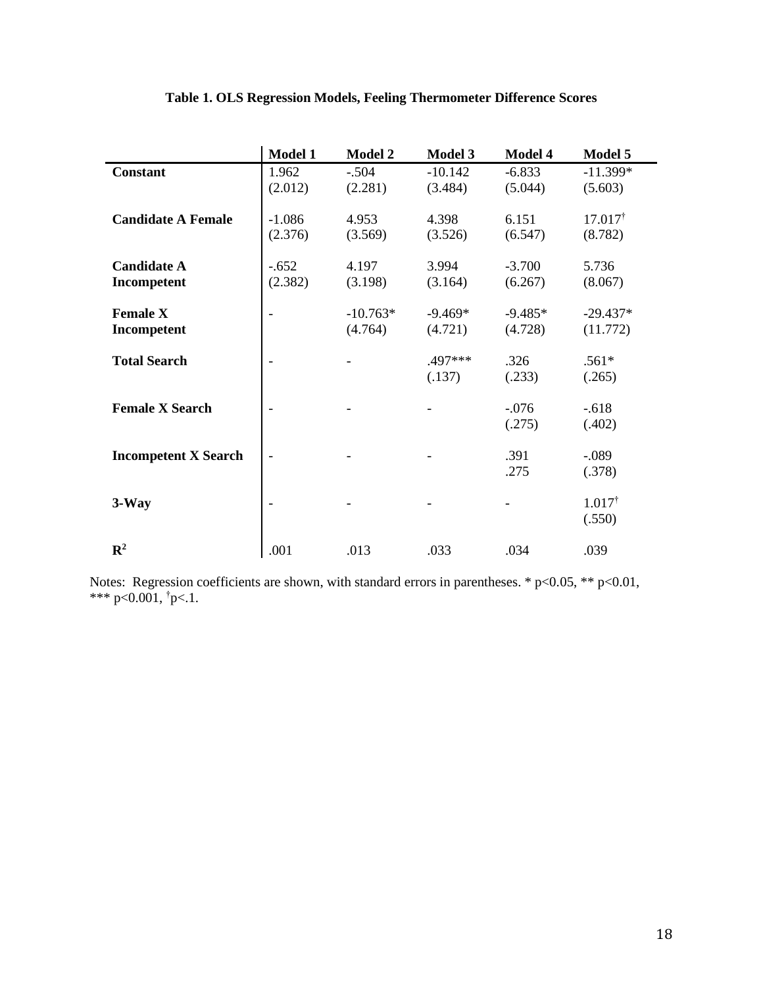|                             | <b>Model 1</b>           | <b>Model 2</b> | Model 3   | Model 4   | Model 5            |
|-----------------------------|--------------------------|----------------|-----------|-----------|--------------------|
| <b>Constant</b>             | 1.962                    | $-.504$        | $-10.142$ | $-6.833$  | $-11.399*$         |
|                             | (2.012)                  | (2.281)        | (3.484)   | (5.044)   | (5.603)            |
|                             |                          |                |           |           |                    |
| <b>Candidate A Female</b>   | $-1.086$                 | 4.953          | 4.398     | 6.151     | $17.017^{\dagger}$ |
|                             | (2.376)                  | (3.569)        | (3.526)   | (6.547)   | (8.782)            |
| <b>Candidate A</b>          | $-.652$                  | 4.197          | 3.994     | $-3.700$  | 5.736              |
|                             |                          |                |           |           |                    |
| Incompetent                 | (2.382)                  | (3.198)        | (3.164)   | (6.267)   | (8.067)            |
| <b>Female X</b>             |                          | $-10.763*$     | $-9.469*$ | $-9.485*$ | $-29.437*$         |
| Incompetent                 |                          | (4.764)        | (4.721)   | (4.728)   | (11.772)           |
|                             |                          |                |           |           |                    |
| <b>Total Search</b>         | $\overline{\phantom{a}}$ |                | .497***   | .326      | $.561*$            |
|                             |                          |                | (.137)    | (.233)    | (.265)             |
|                             |                          |                |           |           |                    |
| <b>Female X Search</b>      | $\overline{\phantom{a}}$ |                |           | $-.076$   | $-.618$            |
|                             |                          |                |           | (.275)    | (.402)             |
|                             |                          |                |           |           |                    |
| <b>Incompetent X Search</b> | $\overline{\phantom{0}}$ |                |           | .391      | $-.089$            |
|                             |                          |                |           | .275      | (.378)             |
| $3-Way$                     |                          |                |           |           | $1.017^{\dagger}$  |
|                             |                          |                |           |           |                    |
|                             |                          |                |           |           | (.550)             |
| $\mathbf{R}^2$              | .001                     | .013           | .033      | .034      | .039               |
|                             |                          |                |           |           |                    |

# **Table 1. OLS Regression Models, Feeling Thermometer Difference Scores**

Notes: Regression coefficients are shown, with standard errors in parentheses.  $* p<0.05$ ,  $** p<0.01$ , \*\*\* p<0.001,  $\tau$ p<.1.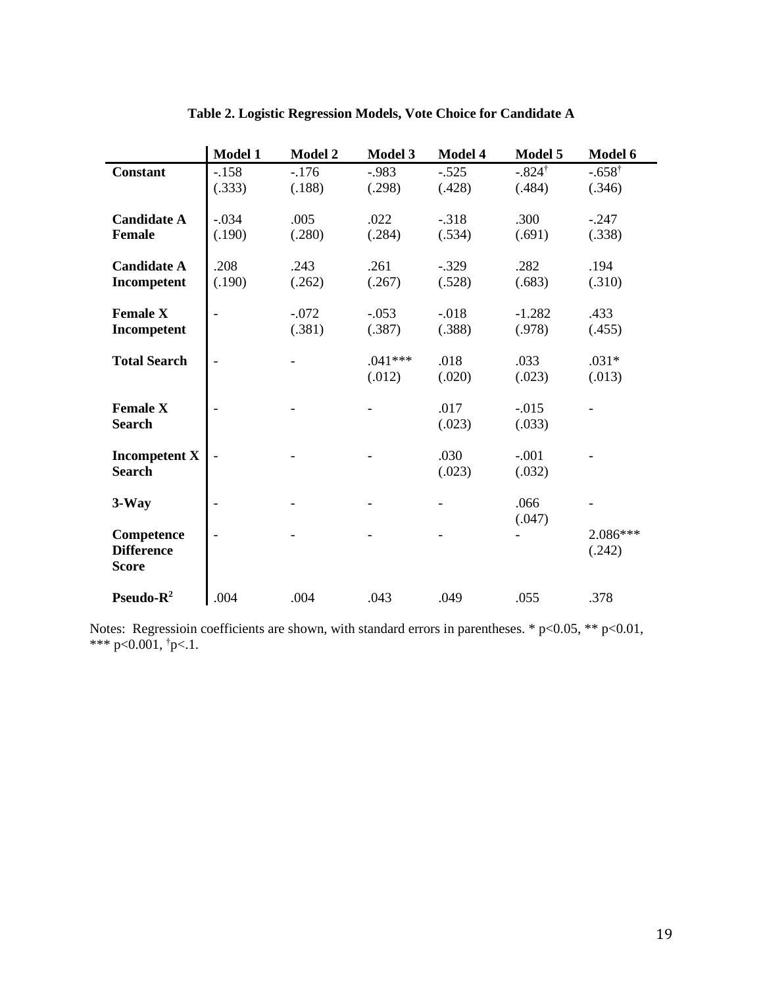|                                                 | Model 1           | <b>Model 2</b>    | Model 3             | Model 4           | Model 5                     | Model 6                     |
|-------------------------------------------------|-------------------|-------------------|---------------------|-------------------|-----------------------------|-----------------------------|
| <b>Constant</b>                                 | $-.158$<br>(.333) | $-.176$<br>(.188) | $-0.983$<br>(.298)  | $-.525$<br>(.428) | $-.824^{\dagger}$<br>(.484) | $-.658^{\dagger}$<br>(.346) |
| <b>Candidate A</b><br>Female                    | $-.034$<br>(.190) | .005<br>(.280)    | .022<br>(.284)      | $-.318$<br>(.534) | .300<br>(.691)              | $-.247$<br>(.338)           |
| <b>Candidate A</b><br>Incompetent               | .208<br>(.190)    | .243<br>(.262)    | .261<br>(.267)      | $-.329$<br>(.528) | .282<br>(.683)              | .194<br>(.310)              |
| <b>Female X</b><br>Incompetent                  |                   | $-.072$<br>(.381) | $-.053$<br>(.387)   | $-.018$<br>(.388) | $-1.282$<br>(.978)          | .433<br>(.455)              |
| <b>Total Search</b>                             |                   |                   | $.041***$<br>(.012) | .018<br>(.020)    | .033<br>(.023)              | $.031*$<br>(.013)           |
| <b>Female X</b><br><b>Search</b>                |                   |                   |                     | .017<br>(.023)    | $-0.015$<br>(.033)          |                             |
| <b>Incompetent X</b><br><b>Search</b>           |                   |                   |                     | .030<br>(.023)    | $-.001$<br>(.032)           |                             |
| $3-Way$                                         |                   |                   |                     |                   | .066<br>(.047)              |                             |
| Competence<br><b>Difference</b><br><b>Score</b> |                   |                   |                     |                   |                             | 2.086***<br>(.242)          |
| Pseudo- $R^2$                                   | .004              | .004              | .043                | .049              | .055                        | .378                        |

**Table 2. Logistic Regression Models, Vote Choice for Candidate A**

Notes: Regressioin coefficients are shown, with standard errors in parentheses.  $* p<0.05$ ,  $** p<0.01$ , \*\*\* p<0.001,  $\tau$ p<.1.